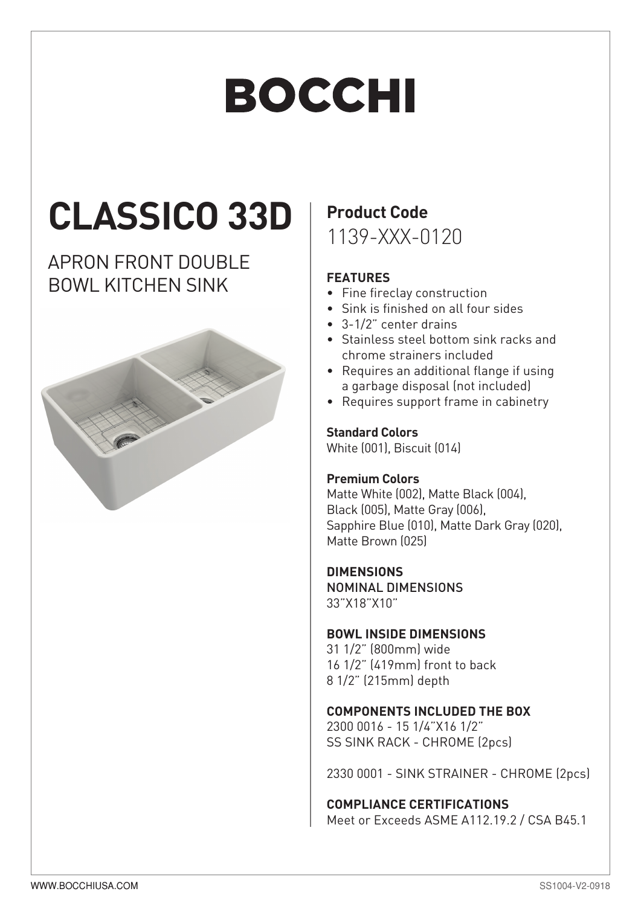# **BOCCHI**

## **CLASSICO 33D**

### APRON FRONT DOUBLE BOWL KITCHEN SINK



## **Product Code**

1139-XXX-0120

#### **FEATURES**

- Fine fireclay construction
- Sink is finished on all four sides
- $\bullet$  3-1/2" center drains
- Stainless steel bottom sink racks and chrome strainers included
- Requires an additional flange if using a garbage disposal (not included)
- Requires support frame in cabinetry

#### **Standard Colors**

White (001), Biscuit (014)

#### **Premium Colors**

Matte White (002), Matte Black (004). Black (005), Matte Gray (006), Sapphire Blue (010), Matte Dark Grav (020). Matte Brown (025)

#### **DIMENSIONS**

NOMINAL DIMENSIONS 33"X18"X10"

#### **BOWL INSIDE DIMENSIONS**

31 1/2" (800mm) wide  $16$   $1/2$ "  $(419$ mm) front to back 8 1/2" (215mm) depth

#### **COMPONENTS INCLUDED THE BOX**

2300 0016 - 15 1/4"X16 1/2" SS SINK RACK - CHROME (2pcs)

2330 0001 - SINK STRAINER - CHROME (2pcs)

#### **COMPLIANCE CERTIFICATIONS**

Meet or Exceeds ASME A112.19.2 / CSA B45.1